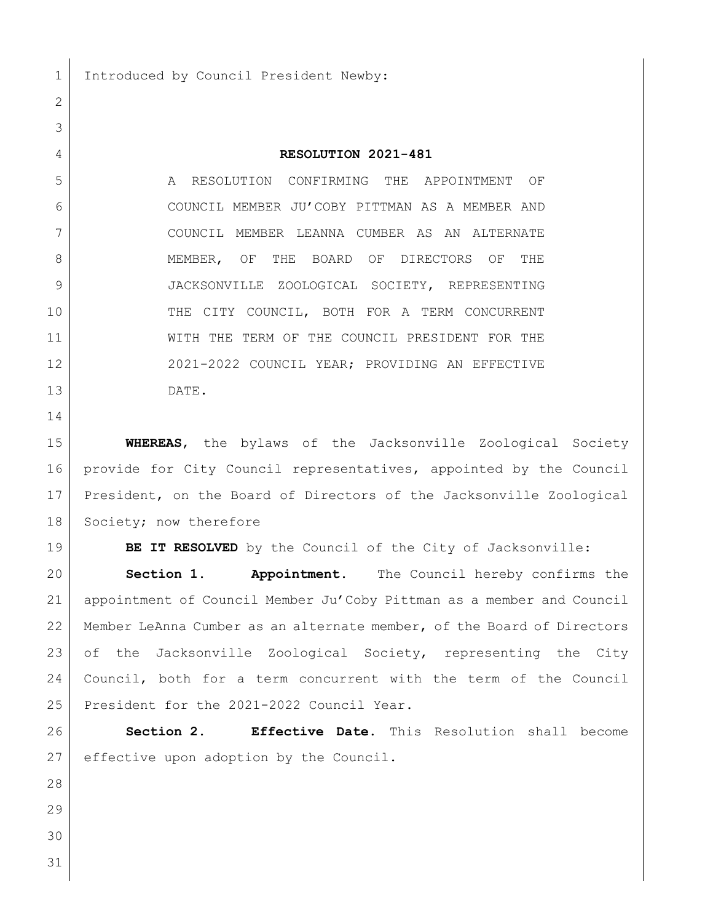1 Introduced by Council President Newby:

## **RESOLUTION 2021-481**

 A RESOLUTION CONFIRMING THE APPOINTMENT OF COUNCIL MEMBER JU'COBY PITTMAN AS A MEMBER AND COUNCIL MEMBER LEANNA CUMBER AS AN ALTERNATE MEMBER, OF THE BOARD OF DIRECTORS OF THE JACKSONVILLE ZOOLOGICAL SOCIETY, REPRESENTING THE CITY COUNCIL, BOTH FOR A TERM CONCURRENT WITH THE TERM OF THE COUNCIL PRESIDENT FOR THE 12 2021-2022 COUNCIL YEAR; PROVIDING AN EFFECTIVE DATE.

 **WHEREAS**, the bylaws of the Jacksonville Zoological Society provide for City Council representatives, appointed by the Council President, on the Board of Directors of the Jacksonville Zoological 18 Society; now therefore

**BE IT RESOLVED** by the Council of the City of Jacksonville:

 **Section 1. Appointment.** The Council hereby confirms the appointment of Council Member Ju'Coby Pittman as a member and Council Member LeAnna Cumber as an alternate member, of the Board of Directors 23 of the Jacksonville Zoological Society, representing the City Council, both for a term concurrent with the term of the Council 25 | President for the 2021-2022 Council Year.

 **Section 2. Effective Date.** This Resolution shall become 27 effective upon adoption by the Council.

- 
-